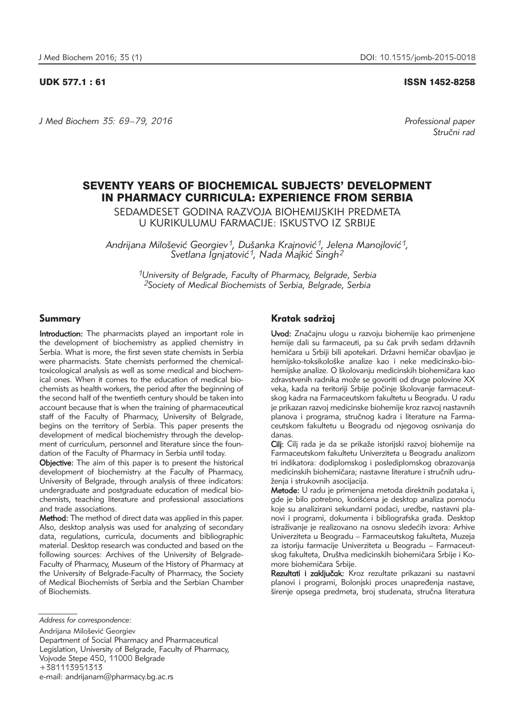UDK 577.1 : 61 ISSN 1452-8258

*J Med Biochem 35: 69–79, 2016 Professional paper*

Stručni rad

# SEVENTY YEARS OF BIOCHEMICAL SUBJECTS' DEVELOPMENT IN PHARMACY CURRICULA: EXPERIENCE FROM SERBIA

SEDAMDESET GODINA RAZVOJA BIOHEMIJSKIH PREDMETA U KURIKULUMU FARMACIJE: ISKUSTVO IZ SRBIJE

Andrijana Milošević Georgiev<sup>1</sup>, Dušanka Krajnović<sup>1</sup>, Jelena Manojlović<sup>1</sup>, Svetlana Ignjatović<sup>1</sup>, Nada Majkić Singh<sup>2</sup>

> *1University of Belgrade, Faculty of Pharmacy, Belgrade, Serbia 2Society of Medical Biochemists of Serbia, Belgrade, Serbia*

# Summary

Introduction: The pharmacists played an important role in the development of biochemistry as applied chemistry in Serbia. What is more, the first seven state chemists in Serbia were pharmacists. State chemists performed the chemicaltoxicological analysis as well as some medical and biochemical ones. When it comes to the education of medical biochemists as health workers, the period after the beginning of the second half of the twentieth century should be taken into account because that is when the training of pharmaceutical staff of the Faculty of Pharmacy, University of Belgrade, begins on the territory of Serbia. This paper presents the development of medical biochemistry through the development of curriculum, personnel and literature since the foundation of the Faculty of Pharmacy in Serbia until today.

Objective: The aim of this paper is to present the historical development of biochemistry at the Faculty of Pharmacy, University of Belgrade, through analysis of three indicators: undergraduate and postgraduate education of medical biochemists, teaching literature and professional associations and trade associations.

Method: The method of direct data was applied in this paper. Also, desktop analysis was used for analyzing of secondary data, regulations, curricula, documents and bibliographic material. Desktop research was conducted and based on the following sources: Archives of the University of Belgrade-Faculty of Pharmacy, Museum of the History of Pharmacy at the University of Belgrade-Faculty of Pharmacy, the Society of Medical Biochemists of Serbia and the Serbian Chamber of Biochemists.

Andrijana Milošević Georgiev

Department of Social Pharmacy and Pharmaceutical Legislation, University of Belgrade, Faculty of Pharmacy, Vojvode Stepe 450, 11000 Belgrade +381113951313

e-mail: andrijanam@pharmacy.bg.ac.rs

# Kratak sadržaj

Uvod: Značajnu ulogu u razvoju biohemije kao primenjene hemije dali su farmaceuti, pa su čak prvih sedam državnih hemičara u Srbiji bili apotekari. Državni hemičar obavljao je hemijsko-toksikološke analize kao i neke medicinsko-biohemijske analize. O školovanju medicinskih biohemičara kao zdravstvenih radnika može se govoriti od druge polovine XX veka, kada na teritoriji Srbije počinje školovanje farmaceutskog kadra na Farmaceutskom fakultetu u Beogradu. U radu je prikazan razvoj medicinske biohemije kroz razvoj nastavnih planova i programa, stručnog kadra i literature na Farmaceutskom fakultetu u Beogradu od njegovog osnivanja do danas.

Cilj: Cilj rada je da se prikaže istorijski razvoj biohemije na Farma ceutskom fakultetu Univerziteta u Beogradu analizom tri indikatora: dodiplomskog i poslediplomskog obrazovanja medicinskih biohemičara; nastavne literature i stručnih udruženja i strukovnih asocijacija.

Metode: U radu je primenjena metoda direktnih podataka i, gde je bilo potrebno, korišćena je desktop analiza pomoću koje su analizirani sekundarni podaci, uredbe, nastavni planovi i programi, dokumenta i bibliografska građa. Desktop istraživanje je realizovano na osnovu sledećih izvora: Arhive Univerziteta u Beogradu – Farmaceutskog fakulteta, Muzeja za istoriju farmacije Univerziteta u Beogradu – Farmaceutskog fakulteta, Društva medicinskih biohemičara Srbije i Komore biohemičara Srbije.

Rezultati i zaključak: Kroz rezultate prikazani su nastavni planovi i programi, Bolonjski proces unapređenja nastave, širenje opsega predmeta, broj studenata, stručna literatura

*Address for correspondence:*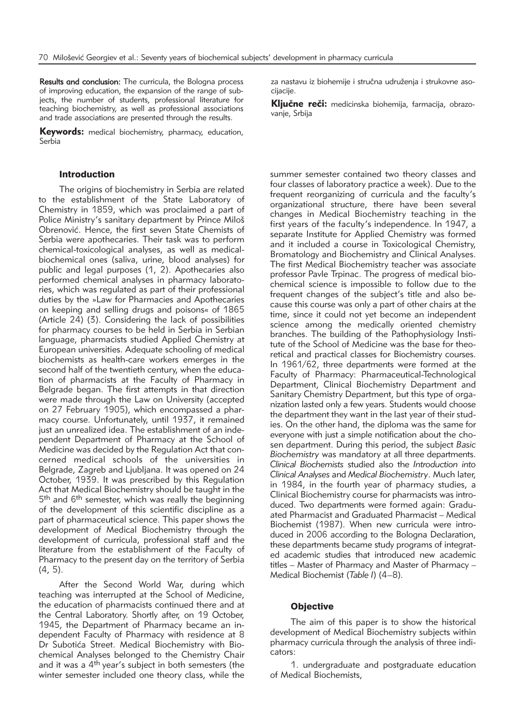Results and conclusion: The curricula, the Bologna process of improving education, the expansion of the range of subjects, the number of students, professional literature for teaching biochemistry, as well as professional associations and trade associations are presented through the results.

Keywords: medical biochemistry, pharmacy, education, Serbia

# **Introduction**

The origins of biochemistry in Serbia are related to the establishment of the State Laboratory of Chemistry in 1859, which was proclaimed a part of Police Ministry's sanitary department by Prince Miloš Obrenović. Hence, the first seven State Chemists of Serbia were apothecaries. Their task was to perform chemical-toxicological analyses, as well as medicalbiochemical ones (saliva, urine, blood analyses) for public and legal purposes (1, 2). Apothecaries also performed chemical analyses in pharmacy laboratories, which was regulated as part of their professional duties by the »Law for Pharmacies and Apothecaries on keeping and selling drugs and poisons« of 1865 (Article 24) (3). Considering the lack of possibilities for pharmacy courses to be held in Serbia in Serbian language, pharmacists studied Applied Chemistry at European universities. Adequate schooling of medical biochemists as health-care workers emerges in the second half of the twentieth century, when the education of pharmacists at the Faculty of Pharmacy in Belgrade began. The first attempts in that direction were made through the Law on University (accepted on 27 February 1905), which encompassed a pharmacy course. Unfortunately, until 1937, it remained just an unrealized idea. The establishment of an independent Department of Pharmacy at the School of Medicine was decided by the Regulation Act that con $c$ erned medical schools of the universities in Belgrade, Zagreb and Ljubljana. It was opened on 24 October, 1939. It was prescribed by this Regulation Act that Medical Biochemistry should be taught in the 5<sup>th</sup> and 6<sup>th</sup> semester, which was really the beginning of the development of this scientific discipline as a part of pharmaceutical science. This paper shows the development of Medical Biochemistry through the development of curricula, professional staff and the literature from the establishment of the Faculty of Pharmacy to the present day on the territory of Serbia (4, 5).

After the Second World War, during which teaching was interrupted at the School of Medicine, the education of pharmacists continued there and at the Central Laboratory. Shortly after, on 19 October, 1945, the Department of Pharmacy became an independent Faculty of Pharmacy with residence at 8 Dr Subotića Street. Medical Biochemistry with Biochemical Analyses belonged to the Chemistry Chair and it was a  $4<sup>th</sup>$  year's subject in both semesters (the winter semester included one theory class, while the

za nastavu iz biohemije i stručna udruženja i strukovne asocijacije.

Ključne reči: medicinska biohemija, farmacija, obrazovanje, Srbija

summer semester contained two theory classes and four classes of laboratory practice a week). Due to the frequent reorganizing of curricula and the faculty's organizational structure, there have been several changes in Medical Biochemistry teaching in the first years of the faculty's independence. In 1947, a separate Institute for Applied Chemistry was formed and it included a course in Toxicological Chemistry, Bromatology and Biochemistry and Clinical Analyses. The first Medical Biochemistry teacher was associate professor Pavle Trpinac. The progress of medical biochemical science is impossible to follow due to the frequent changes of the subject's title and also be cause this course was only a part of other chairs at the time, since it could not yet become an independent science among the medically oriented chemistry branches. The building of the Pathophysiology Institute of the School of Medicine was the base for theoretical and practical classes for Biochemistry courses. In 1961/62, three departments were formed at the Faculty of Pharmacy: Pharmaceutical-Technological Department, Clinical Biochemistry Department and Sanitary Chemistry Department, but this type of organization lasted only a few years. Students would choose the department they want in the last year of their studies. On the other hand, the diploma was the same for everyone with just a simple notification about the chosen department. During this period, the subject *Basic Biochemistry* was mandatory at all three departments. *Clinical Biochemists* studied also the *Intro duction into Cli nical Analyses* and *Medical Biochemistry*. Much later, in 1984, in the fourth year of pharmacy studies, a Clinical Biochemistry course for pharmacists was introduced. Two departments were formed again: Graduated Pharmacist and Graduated Pharmacist – Medical Biochemist (1987). When new curricula were introduced in 2006 according to the Bologna Declaration, these departments became study programs of integrated academic studies that introduced new academic titles – Master of Pharmacy and Master of Pharmacy – Medical Biochemist (*Table I*) (4–8).

#### **Objective**

The aim of this paper is to show the historical development of Medical Biochemistry subjects within pharmacy curricula through the analysis of three indicators:

1. undergraduate and postgraduate education of Medical Biochemists,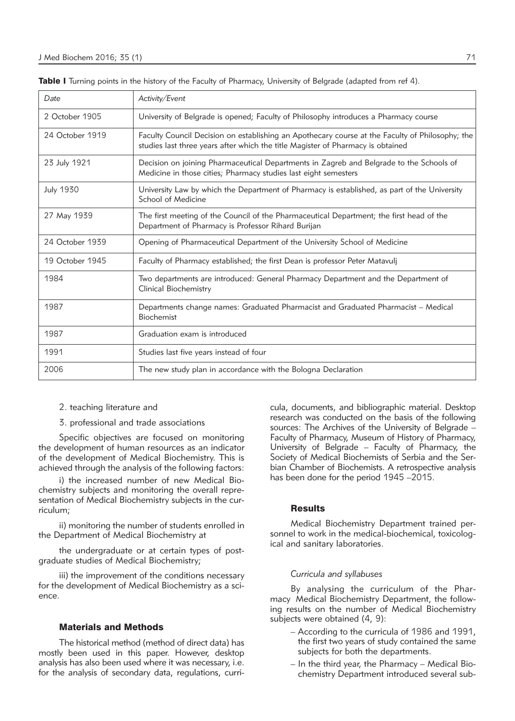| Date             | Activity/Event                                                                                                                                                                     |
|------------------|------------------------------------------------------------------------------------------------------------------------------------------------------------------------------------|
| 2 October 1905   | University of Belgrade is opened; Faculty of Philosophy introduces a Pharmacy course                                                                                               |
| 24 October 1919  | Faculty Council Decision on establishing an Apothecary course at the Faculty of Philosophy; the<br>studies last three years after which the title Magister of Pharmacy is obtained |
| 23 July 1921     | Decision on joining Pharmaceutical Departments in Zagreb and Belgrade to the Schools of<br>Medicine in those cities; Pharmacy studies last eight semesters                         |
| <b>July 1930</b> | University Law by which the Department of Pharmacy is established, as part of the University<br>School of Medicine                                                                 |
| 27 May 1939      | The first meeting of the Council of the Pharmaceutical Department; the first head of the<br>Department of Pharmacy is Professor Rihard Burijan                                     |
| 24 October 1939  | Opening of Pharmaceutical Department of the University School of Medicine                                                                                                          |
| 19 October 1945  | Faculty of Pharmacy established; the first Dean is professor Peter Matavulj                                                                                                        |
| 1984             | Two departments are introduced: General Pharmacy Department and the Department of<br>Clinical Biochemistry                                                                         |
| 1987             | Departments change names: Graduated Pharmacist and Graduated Pharmacist – Medical<br><b>Biochemist</b>                                                                             |
| 1987             | Graduation exam is introduced                                                                                                                                                      |
| 1991             | Studies last five years instead of four                                                                                                                                            |
| 2006             | The new study plan in accordance with the Bologna Declaration                                                                                                                      |

Table I Turning points in the history of the Faculty of Pharmacy, University of Belgrade (adapted from ref 4).

- 2. teaching literature and
- 3. professional and trade associations

Specific objectives are focused on monitoring the development of human resources as an indicator of the development of Medical Biochemistry. This is achieved through the analysis of the following factors:

i) the increased number of new Medical Biochemistry subjects and monitoring the overall representation of Medical Biochemistry subjects in the curriculum;

ii) monitoring the number of students enrolled in the Department of Medical Biochemistry at

the undergraduate or at certain types of postgraduate studies of Medical Biochemistry;

iii) the improvement of the conditions necessary for the development of Medical Biochemistry as a science.

## Materials and Methods

The historical method (method of direct data) has mostly been used in this paper. However, desktop analysis has also been used where it was necessary, i.e. for the analysis of secondary data, regulations, curricula, documents, and bibliographic material. Desktop research was conducted on the basis of the following sources: The Archives of the University of Belgrade  $-$ Faculty of Pharmacy, Museum of History of Pharmacy, University of Belgrade - Faculty of Pharmacy, the Society of Medical Biochemists of Serbia and the Serbian Chamber of Biochemists. A retrospective analysis has been done for the period 1945 – 2015.

# **Results**

Medical Biochemistry Department trained personnel to work in the medical-biochemical, toxicological and sanitary laboratories.

### *Curricula and syllabuses*

By analysing the curriculum of the Pharmacy Medical Biochemistry Department, the following results on the number of Medical Biochemistry subjects were obtained (4, 9):

- According to the curricula of 1986 and 1991, the first two years of study contained the same subjects for both the departments.
- In the third year, the Pharmacy Medical Bio chemistry Department introduced several sub-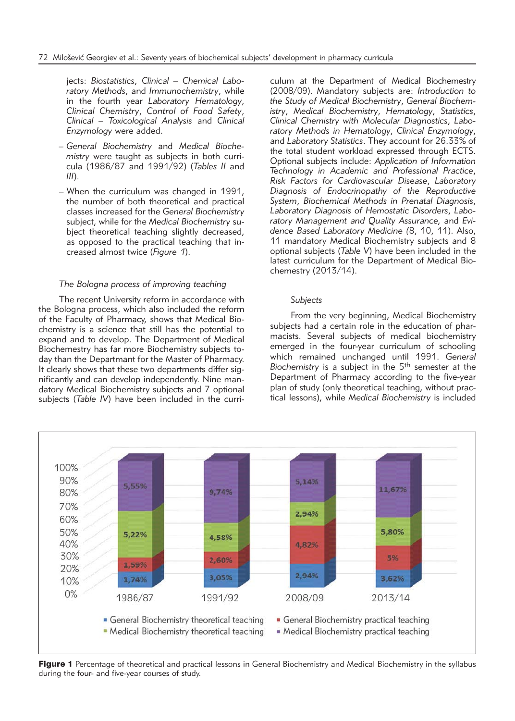jects: *Biostatistics*, *Clinical – Chemical Labo ratory Methods*, and *Immunochemistry*, while in the fourth year Laboratory Hematology, *Clin i cal Chemistry*, *Control of Food Safety*, *Clin i cal – Toxicological Analysis* and *Cli nical Enzy mology* were added.

- *General Biochemistry* and *Medical Bio che mistry* were taught as subjects in both curricula (1986/87 and 1991/92) (*Tables II* and *III*).
- When the curriculum was changed in 1991, the number of both theoretical and practical classes increased for the *General Biochemistry* subject, while for the *Medical Biochemistry* subject theoretical teaching slightly decreased, as opposed to the practical teaching that increased almost twice (*Figure 1*).

#### *The Bologna process of improving teaching*

The recent University reform in accordance with the Bologna process, which also included the reform of the Faculty of Pharmacy, shows that Medical Bioche mistry is a science that still has the potential to expand and to develop. The Department of Medical Biochemestry has far more Biochemistry subjects to day than the Departmant for the Master of Pharmacy. It clearly shows that these two departments differ significantly and can develop independently. Nine man datory Medical Biochemistry subjects and 7 optional subjects (*Table IV*) have been included in the curri-

culum at the Department of Medical Biochemestry (2008/09). Mandatory subjects are: *Introduction to the Study of Medical Biochemistry, General Biochemistry*, *Medical Bio chemistry*, *Hematology*, *Statistics*, *Clinical Che mi stry with Mole cular Diagno stics*, *Labo ratory Met hods in Hema to logy*, *Clinical Enzy mology*, and *Laboratory Statistics*. They account for 26.33% of the total student workload expressed through ECTS. Optional subjects include: *Application of Information Techno logy in Aca demic and Professional Practice*, *Risk Factors for Cardiovascular Disease*, *Laboratory Dia g nosis of Endocrinopathy of the Reproductive System*, *Biochemical Methods in Prenatal Diagnosis*, *Labo ra tory Diagnosis of Hemostatic Disorders*, *Labo*  ratory Management and Quality Assurance, and *Evidence Based Labo ratory Medicine (*8, 10, 11). Also, 11 mandatory Medical Biochemistry subjects and 8 optional subjects (*Table V*) have been included in the latest curriculum for the Department of Medical Biochemestry (2013/14).

#### *Subjects*

From the very beginning, Medical Biochemistry subjects had a certain role in the education of pharmacists. Several subjects of medical biochemistry emerged in the four-year curriculum of schooling which remained unchanged until 1991. *General Biochemistry* is a subject in the 5th semester at the Department of Pharmacy according to the five-year plan of study (only theoretical teaching, without practical lessons), while *Medical Biochemistry* is included



Figure 1 Percentage of theoretical and practical lessons in General Biochemistry and Medical Biochemistry in the syllabus during the four- and five-year courses of study.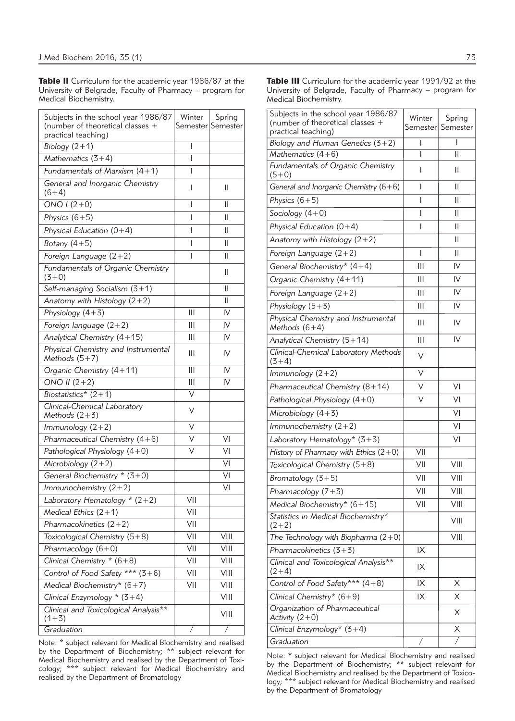Table II Curriculum for the academic year 1986/87 at the University of Belgrade, Faculty of Pharmacy – program for Medical Biochemistry.

| Subjects in the school year 1986/87<br>(number of theoretical classes +<br>practical teaching) | Winter       | Spring<br>Semester Semester |
|------------------------------------------------------------------------------------------------|--------------|-----------------------------|
| Biology $(2+1)$                                                                                | I            |                             |
| Mathematics $(3+4)$                                                                            | I            |                             |
| Fundamentals of Marxism $(4+1)$                                                                | I            |                             |
| General and Inorganic Chemistry<br>$(6+4)$                                                     | I            | Ш                           |
| ONO $1(2+0)$                                                                                   | I            | Ш                           |
| Physics $(6+5)$                                                                                | I            | Ш                           |
| Physical Education $(0+4)$                                                                     | $\mathbf{I}$ | Ш                           |
| Botany $(4+5)$                                                                                 | I            | Ш                           |
| Foreign Language $(2+2)$                                                                       | I            | Ш                           |
| Fundamentals of Organic Chemistry<br>$(3+0)$                                                   |              | Ш                           |
| Self-managing Socialism (3+1)                                                                  |              | Ш                           |
| Anatomy with Histology $(2+2)$                                                                 |              | Ш                           |
| Physiology $(4+3)$                                                                             | Ш            | IV                          |
| Foreign language $(2+2)$                                                                       | Ш            | IV                          |
| Analytical Chemistry (4+15)                                                                    | Ш            | IV                          |
| Physical Chemistry and Instrumental<br>Methods $(5+7)$                                         | Ш            | IV                          |
| Organic Chemistry (4+11)                                                                       | Ш            | IV                          |
| ONO II $(2+2)$                                                                                 | Ш            | IV                          |
| Biostatistics* $(2+1)$                                                                         | V            |                             |
| Clinical-Chemical Laboratory<br>Methods $(2+3)$                                                | ٧            |                             |
| Immunology $(2+2)$                                                                             | ٧            |                             |
| Pharmaceutical Chemistry (4+6)                                                                 | ٧            | VI                          |
| Pathological Physiology (4+0)                                                                  | V            | VI                          |
| Microbiology $(2+2)$                                                                           |              | VI                          |
| General Biochemistry * (3+0)                                                                   |              | VI                          |
| Immunochemistry $(2+2)$                                                                        |              | VI                          |
| Laboratory Hematology $*(2+2)$                                                                 | VII          |                             |
| Medical Ethics $(2+1)$                                                                         | VII          |                             |
| Pharmacokinetics $(2+2)$                                                                       | VII          |                             |
| Toxicological Chemistry (5+8)                                                                  | VII          | VIII                        |
| Pharmacology $(6+0)$                                                                           | VII          | VIII                        |
| Clinical Chemistry $*(6+8)$                                                                    | VII          | VIII                        |
| Control of Food Safety *** (3+6)                                                               | VII          | VIII                        |
| Medical Biochemistry* (6+7)                                                                    | VII          | VIII                        |
| Clinical Enzymology $*(3+4)$                                                                   |              | VIII                        |
| Clinical and Toxicological Analysis**<br>$(1+3)$                                               |              | VIII                        |
| Graduation                                                                                     | Τ            | Ϊ                           |

Note: \* subject relevant for Medical Biochemistry and realised by the Department of Biochemistry; \*\* subject relevant for Medical Biochemistry and realised by the Department of Toxicology; \*\*\* subject relevant for Medical Biochemistry and realised by the Department of Bromatology

Table III Curriculum for the academic year 1991/92 at the University of Belgrade, Faculty of Pharmacy – program for Medical Biochemistry.

| Subjects in the school year 1986/87<br>(number of theoretical classes +<br>practical teaching) | Winter | Spring<br>Semester  Semester |
|------------------------------------------------------------------------------------------------|--------|------------------------------|
| Biology and Human Genetics $(3+2)$                                                             | I      | I                            |
| Mathematics $(4+6)$                                                                            | I      | Ш                            |
| Fundamentals of Organic Chemistry<br>$(5+0)$                                                   | L      | Ш                            |
| General and Inorganic Chemistry (6+6)                                                          | I      | Ш                            |
| Physics $(6+5)$                                                                                | I      | Ш                            |
| Sociology $(4+0)$                                                                              | I      | Ш                            |
| Physical Education $(0+4)$                                                                     | I      | Ш                            |
| Anatomy with Histology $(2+2)$                                                                 |        | Ш                            |
| Foreign Language $(2+2)$                                                                       | I      | Ш                            |
| General Biochemistry* $(4+4)$                                                                  | Ш      | IV                           |
| Organic Chemistry (4+11)                                                                       | Ш      | IV                           |
| Foreign Language $(2+2)$                                                                       | Ш      | IV                           |
| Physiology $(5+3)$                                                                             | Ш      | IV                           |
| Physical Chemistry and Instrumental<br>Methods $(6+4)$                                         | Ш      | IV                           |
| Analytical Chemistry (5+14)                                                                    | Ш      | IV                           |
| Clinical-Chemical Laboratory Methods<br>$(3+4)$                                                | V      |                              |
| Immunology $(2+2)$                                                                             | V      |                              |
| Pharmaceutical Chemistry (8+14)                                                                | V      | VI                           |
| Pathological Physiology $(4+0)$                                                                | V      | VI                           |
| Microbiology $(4+3)$                                                                           |        | V <sub>l</sub>               |
| Immunochemistry $(2+2)$                                                                        |        | V <sub>l</sub>               |
| Laboratory Hematology* (3+3)                                                                   |        | VI                           |
| History of Pharmacy with Ethics $(2+0)$                                                        | VII    |                              |
| Toxicological Chemistry (5+8)                                                                  | VII    | VIII                         |
| Bromatology $(3+5)$                                                                            | VII    | VIII                         |
| Pharmacology $(7+3)$                                                                           | VII    | VIII                         |
| Medical Biochemistry* $(6+15)$                                                                 | VII    | VIII                         |
| Statistics in Medical Biochemistry*<br>$(2+2)$                                                 |        | VIII                         |
| The Technology with Biopharma $(2+0)$                                                          |        | VIII                         |
| Pharmacokinetics $(3+3)$                                                                       | IX     |                              |
| Clinical and Toxicological Analysis**<br>$(2+4)$                                               | IX     |                              |
| Control of Food Safety*** (4+8)                                                                | IΧ     | Х                            |
| Clinical Chemistry* $(6+9)$                                                                    | IX     | X                            |
| Organization of Pharmaceutical<br>Activity $(2+0)$                                             |        | Χ                            |
| Clinical Enzymology* $(3+4)$                                                                   |        | Χ                            |
| Graduation                                                                                     | Τ      | Τ                            |

Note: \* subject relevant for Medical Biochemistry and realised by the Department of Biochemistry; \*\* subject relevant for Medical Biochemistry and realised by the Department of Toxicology; \*\*\* subject relevant for Medical Biochemistry and realised by the Department of Bromatology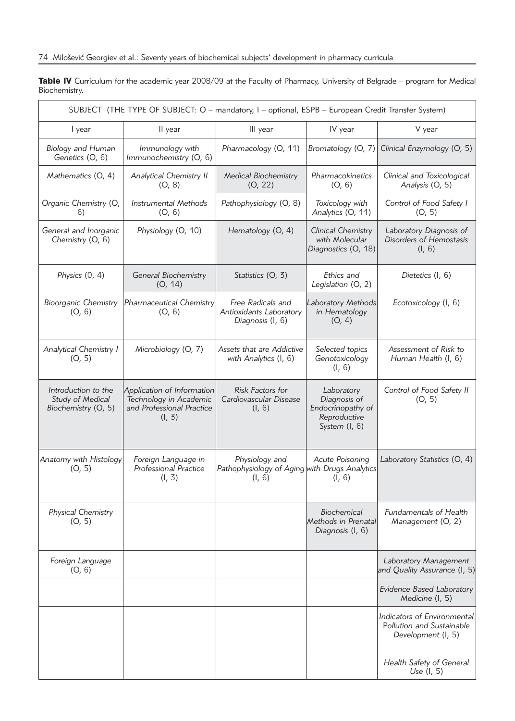Table IV Curriculum for the academic year 2008/09 at the Faculty of Pharmacy, University of Belgrade – program for Medical Biochemistry.

| SUBJECT (THE TYPE OF SUBJECT: O - mandatory, I - optional, ESPB - European Credit Transfer System) |                                                                                             |                                                                           |                                                                                    |                                                                                |  |  |  |
|----------------------------------------------------------------------------------------------------|---------------------------------------------------------------------------------------------|---------------------------------------------------------------------------|------------------------------------------------------------------------------------|--------------------------------------------------------------------------------|--|--|--|
| I year                                                                                             | II year                                                                                     | III year                                                                  | IV year                                                                            | V year                                                                         |  |  |  |
| <b>Biology and Human</b><br>Genetics (O, 6)                                                        | Immunology with<br>Immunochemistry (O, 6)                                                   | Pharmacology (O, 11)                                                      | Bromatology (O, 7)                                                                 | Clinical Enzymology (O, 5)                                                     |  |  |  |
| Mathematics (O, 4)                                                                                 | <b>Analytical Chemistry II</b><br>(O, 8)                                                    | <b>Medical Biochemistry</b><br>(O, 22)                                    | Pharmacokinetics<br>(O, 6)                                                         | Clinical and Toxicological<br>Analysis (O, 5)                                  |  |  |  |
| Organic Chemistry (O,<br>6)                                                                        | <b>Instrumental Methods</b><br>(O, 6)                                                       | Pathophysiology (O, 8)                                                    | Toxicology with<br>Analytics (O, 11)                                               | Control of Food Safety I<br>(O, 5)                                             |  |  |  |
| General and Inorganic<br>Chemistry (O, 6)                                                          | Physiology (O, 10)                                                                          | Hematology (O, 4)                                                         | <b>Clinical Chemistry</b><br>with Molecular<br>Diagnostics (O, 18)                 | Laboratory Diagnosis of<br>Disorders of Hemostasis<br>(I, 6)                   |  |  |  |
| Physics (0, 4)                                                                                     | General Biochemistry<br>(O, 14)                                                             | Statistics (O, 3)                                                         | Ethics and<br>Legislation (O, 2)                                                   | Dietetics (I, 6)                                                               |  |  |  |
| <b>Bioorganic Chemistry</b><br>(O, 6)                                                              | Pharmaceutical Chemistry<br>(O, 6)                                                          | Free Radicals and<br>Antioxidants Laboratory<br>Diagnosis (I, 6)          | Laboratory Methods<br>in Hematology<br>(O, 4)                                      | Ecotoxicology (I, 6)                                                           |  |  |  |
| <b>Analytical Chemistry I</b><br>(O, 5)                                                            | Microbiology (O, 7)                                                                         | Assets that are Addictive<br>with Analytics (I, 6)                        | Selected topics<br>Genotoxicology<br>(l, 6)                                        | Assessment of Risk to<br>Human Health (I, 6)                                   |  |  |  |
| Introduction to the<br>Study of Medical<br>Biochemistry (O, 5)                                     | Application of Information<br>Technology in Academic<br>and Professional Practice<br>(l, 3) | Risk Factors for<br>Cardiovascular Disease<br>(l, 6)                      | Laboratory<br>Diagnosis of<br>Endocrinopathy of<br>Reproductive<br>System $(l, 6)$ | Control of Food Safety II<br>(O, 5)                                            |  |  |  |
| Anatomy with Histology<br>(O, 5)                                                                   | Foreign Language in<br><b>Professional Practice</b><br>(l, 3)                               | Physiology and<br>Pathophysiology of Aging with Drugs Analytics<br>(l, 6) | Acute Poisoning<br>(l, 6)                                                          | Laboratory Statistics (O, 4)                                                   |  |  |  |
| Physical Chemistry<br>(O, 5)                                                                       |                                                                                             |                                                                           | Biochemical<br>Methods in Prenatal<br>Diagnosis (I, 6)                             | Fundamentals of Health<br>Management (O, 2)                                    |  |  |  |
| Foreign Language<br>(O, 6)                                                                         |                                                                                             |                                                                           |                                                                                    | Laboratory Management<br>and Quality Assurance (I, 5)                          |  |  |  |
|                                                                                                    |                                                                                             |                                                                           |                                                                                    | Evidence Based Laboratory<br>Medicine (I, 5)                                   |  |  |  |
|                                                                                                    |                                                                                             |                                                                           |                                                                                    | Indicators of Environmental<br>Pollution and Sustainable<br>Development (I, 5) |  |  |  |
|                                                                                                    |                                                                                             |                                                                           |                                                                                    | Health Safety of General<br>Use $(l, 5)$                                       |  |  |  |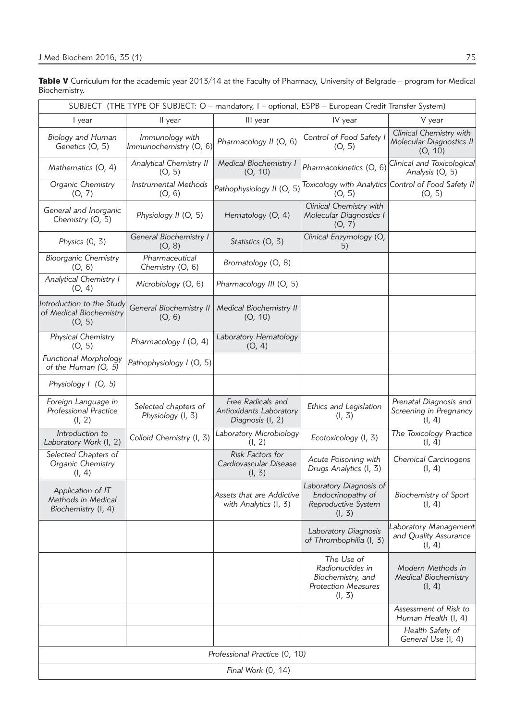Table V Curriculum for the academic year 2013/14 at the Faculty of Pharmacy, University of Belgrade – program for Medical Biochemistry.

| SUBJECT (THE TYPE OF SUBJECT: O - mandatory, I - optional, ESPB - European Credit Transfer System) |                                           |                                                                  |                                                                                             |                                                                |  |  |  |  |
|----------------------------------------------------------------------------------------------------|-------------------------------------------|------------------------------------------------------------------|---------------------------------------------------------------------------------------------|----------------------------------------------------------------|--|--|--|--|
| I year                                                                                             | II year                                   | III year                                                         | IV year                                                                                     | V year                                                         |  |  |  |  |
| <b>Biology and Human</b><br>Genetics (O, 5)                                                        | Immunology with<br>Immunochemistry (O, 6) | Pharmacology II (O, 6)                                           | Control of Food Safety I<br>(O, 5)                                                          | Clinical Chemistry with<br>Molecular Diagnostics II<br>(O, 10) |  |  |  |  |
| Mathematics (O, 4)                                                                                 | <b>Analytical Chemistry II</b><br>(O, 5)  | <b>Medical Biochemistry I</b><br>(O, 10)                         | Pharmacokinetics (O, 6)                                                                     | Clinical and Toxicological<br>Analysis (O, 5)                  |  |  |  |  |
| Organic Chemistry<br>(O, 7)                                                                        | <b>Instrumental Methods</b><br>(O, 6)     | Pathophysiology II (O, 5)                                        | (O, 5)                                                                                      | Toxicology with Analytics Control of Food Safety II<br>(O, 5)  |  |  |  |  |
| General and Inorganic<br>Chemistry (O, 5)                                                          | Physiology II (O, 5)                      | Hematology (O, 4)                                                | Clinical Chemistry with<br>Molecular Diagnostics I<br>(O, 7)                                |                                                                |  |  |  |  |
| Physics $(0, 3)$                                                                                   | General Biochemistry I<br>(O, 8)          | Statistics (O, 3)                                                | Clinical Enzymology (O,<br>5)                                                               |                                                                |  |  |  |  |
| <b>Bioorganic Chemistry</b><br>(O, 6)                                                              | Pharmaceutical<br>Chemistry (O, 6)        | Bromatology (O, 8)                                               |                                                                                             |                                                                |  |  |  |  |
| Analytical Chemistry I<br>(O, 4)                                                                   | Microbiology (O, 6)                       | Pharmacology III (O, 5)                                          |                                                                                             |                                                                |  |  |  |  |
| Introduction to the Study<br>of Medical Biochemistry<br>(O, 5)                                     | General Biochemistry II<br>(O, 6)         | <b>Medical Biochemistry II</b><br>(O, 10)                        |                                                                                             |                                                                |  |  |  |  |
| Physical Chemistry<br>(O, 5)                                                                       | Pharmacology I (O, 4)                     | Laboratory Hematology<br>(O, 4)                                  |                                                                                             |                                                                |  |  |  |  |
| <b>Functional Morphology</b><br>of the Human (O, 5)                                                | Pathophysiology I (O, 5)                  |                                                                  |                                                                                             |                                                                |  |  |  |  |
| Physiology I (O, 5)                                                                                |                                           |                                                                  |                                                                                             |                                                                |  |  |  |  |
| Foreign Language in<br><b>Professional Practice</b><br>(l, 2)                                      | Selected chapters of<br>Physiology (I, 3) | Free Radicals and<br>Antioxidants Laboratory<br>Diagnosis (I, 2) | Ethics and Legislation<br>(l, 3)                                                            | Prenatal Diagnosis and<br>Screening in Pregnancy<br>(l, 4)     |  |  |  |  |
| Introduction to<br>Laboratory Work (I, 2)                                                          | Colloid Chemistry (I, 3)                  | Laboratory Microbiology<br>(l, 2)                                | Ecotoxicology (I, 3)                                                                        | The Toxicology Practice<br>(l, 4)                              |  |  |  |  |
| Selected Chapters of<br>Organic Chemistry<br>(l, 4)                                                |                                           | Risk Factors for<br>Cardiovascular Disease<br>(l, 3)             | Acute Poisoning with<br>Drugs Analytics (I, 3)                                              | <b>Chemical Carcinogens</b><br>(l, 4)                          |  |  |  |  |
| Application of IT<br>Methods in Medical<br>Biochemistry (I, 4)                                     |                                           | Assets that are Addictive<br>with Analytics (I, 3)               | Laboratory Diagnosis of<br>Endocrinopathy of<br>Reproductive System<br>(l, 3)               | <b>Biochemistry of Sport</b><br>(l, 4)                         |  |  |  |  |
|                                                                                                    |                                           |                                                                  | Laboratory Diagnosis<br>of Thrombophilia (I, 3)                                             | Laboratory Management<br>and Quality Assurance<br>(l, 4)       |  |  |  |  |
|                                                                                                    |                                           |                                                                  | The Use of<br>Radionuclides in<br>Biochemistry, and<br><b>Protection Measures</b><br>(l, 3) | Modern Methods in<br><b>Medical Biochemistry</b><br>(l, 4)     |  |  |  |  |
|                                                                                                    |                                           |                                                                  |                                                                                             | Assessment of Risk to<br>Human Health (I, 4)                   |  |  |  |  |
|                                                                                                    |                                           |                                                                  |                                                                                             | Health Safety of<br>General Use (I, 4)                         |  |  |  |  |
| Professional Practice (0, 10)                                                                      |                                           |                                                                  |                                                                                             |                                                                |  |  |  |  |
| Final Work (0, 14)                                                                                 |                                           |                                                                  |                                                                                             |                                                                |  |  |  |  |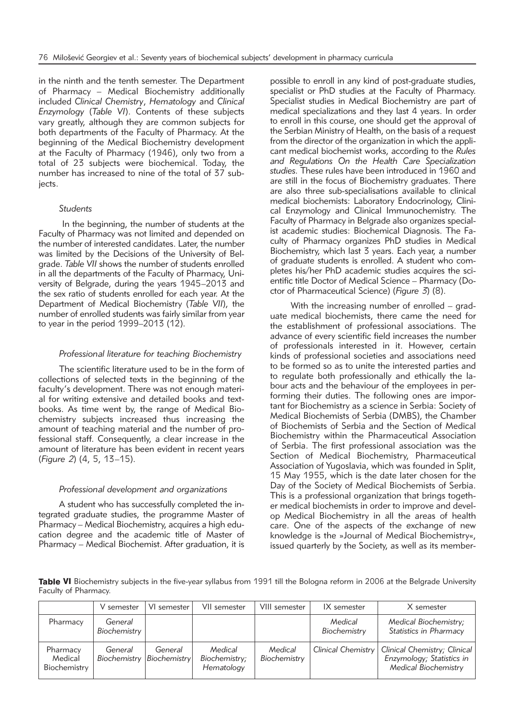in the ninth and the tenth semester. The Department of Pharmacy *–* Medical Biochemistry additionally included *Clinical Chemistry*, *Hematology* and *Clinical Enzy mo logy* (*Table VI*). Contents of these subjects vary greatly, although they are common subjects for both departments of the Faculty of Pharmacy. At the beginning of the Medical Biochemistry development at the Faculty of Pharmacy (1946), only two from a total of 23 subjects were biochemical. Today, the number has increased to nine of the total of  $37$  subjects.

# *Students*

In the beginning, the number of students at the Faculty of Pharmacy was not limited and depended on the number of interested candidates. Later, the number was limited by the Decisions of the University of Belgrade. Table VII shows the number of students enrolled in all the departments of the Faculty of Pharmacy, University of Belgrade, during the years 1945–2013 and the sex ratio of students enrolled for each year. At the Department of Medical Biochemistry (Table VII), the number of enrolled students was fairly similar from year to year in the period  $1999-2013$  (12).

# *Professional literature for teaching Biochemistry*

The scientific literature used to be in the form of collections of selected texts in the beginning of the faculty's development. There was not enough material for writing extensive and detailed books and textbooks. As time went by, the range of Medical Biochemistry subjects increased thus increasing the amount of teaching material and the number of professional staff. Consequently, a clear increase in the amount of literature has been evident in recent years (*Figure 2*) (4, 5, 13–15).

#### *Professional development and organizations*

A student who has successfully completed the integrated graduate studies, the programme Master of Pharmacy – Medical Biochemistry, acquires a high education degree and the academic title of Master of Pharmacy – Medical Biochemist. After graduation, it is

possible to enroll in any kind of post-graduate studies, specialist or PhD studies at the Faculty of Pharmacy. Specialist studies in Medical Biochemistry are part of medical specializations and they last 4 years. In order to enroll in this course, one should get the approval of the Serbian Ministry of Health, on the basis of a request from the director of the organization in which the applicant medical biochemist works, according to the *Rules* and Regulations On the Health Care Specialization studies. These rules have been introduced in 1960 and are still in the focus of Biochemistry graduates. There are also three sub-specialisations available to clinical medical biochemists: Laboratory Endocrinology, Clinical Enzymology and Clinical Immunochemistry. The Faculty of Pharmacy in Belgrade also organizes specialist academic studies: Biochemical Diagnosis. The Faculty of Pharmacy organizes PhD studies in Medical Biochemistry, which last 3 years. Each year, a number of graduate students is enrolled. A student who completes his/her PhD academic studies acquires the scientific title Doctor of Medical Science – Pharmacy (Doctor of Pharmaceutical Science) (*Figure 3*) (8).

With the increasing number of enrolled – graduate medical biochemists, there came the need for the establishment of professional associations. The advance of every scientific field increases the number of professionals interested in it. However, certain kinds of professional societies and associations need to be formed so as to unite the interested parties and to regulate both professionally and ethically the labour acts and the behaviour of the employees in performing their duties. The following ones are important for Biochemistry as a science in Serbia: Society of Medical Biochemists of Serbia (DMBS), the Chamber of Biochemists of Serbia and the Section of Medical Biochemistry within the Pharmaceutical Association of Serbia. The first professional association was the Section of Medical Biochemistry, Pharmaceutical Association of Yugoslavia, which was founded in Split, 15 May 1955, which is the date later chosen for the Day of the Society of Medical Biochemists of Serbia. This is a professional organization that brings together medical biochemists in order to improve and develop Medical Biochemistry in all the areas of health care. One of the aspects of the exchange of new knowledge is the »Journal of Medical Biochemistry«, issued quarterly by the Society, as well as its member-

Table VI Biochemistry subjects in the five-year syllabus from 1991 till the Bologna reform in 2006 at the Belgrade University Faculty of Pharmacy.

|                                     | V semester              | VI semester             | VII semester                           | VIII semester           | IX semester             | X semester                                                                        |
|-------------------------------------|-------------------------|-------------------------|----------------------------------------|-------------------------|-------------------------|-----------------------------------------------------------------------------------|
| Pharmacy                            | General<br>Biochemistry |                         |                                        |                         | Medical<br>Biochemistry | Medical Biochemistry;<br>Statistics in Pharmacy                                   |
| Pharmacy<br>Medical<br>Biochemistry | General<br>Biochemistry | General<br>Biochemistry | Medical<br>Biochemistry;<br>Hematology | Medical<br>Biochemistry | Clinical Chemistry      | Clinical Chemistry; Clinical<br>Enzymology; Statistics in<br>Medical Biochemistry |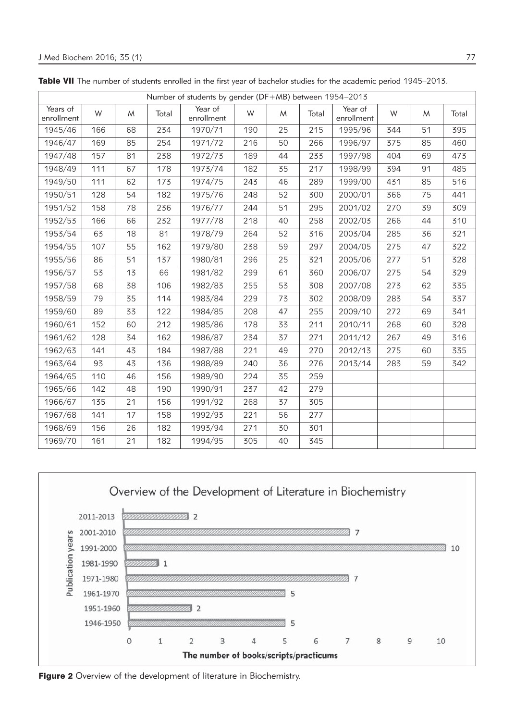|                        | Number of students by gender (DF+MB) between 1954-2013 |    |       |                       |     |    |       |                       |     |    |       |
|------------------------|--------------------------------------------------------|----|-------|-----------------------|-----|----|-------|-----------------------|-----|----|-------|
| Years of<br>enrollment | W                                                      | M  | Total | Year of<br>enrollment | W   | M  | Total | Year of<br>enrollment | W   | M  | Total |
| 1945/46                | 166                                                    | 68 | 234   | 1970/71               | 190 | 25 | 215   | 1995/96               | 344 | 51 | 395   |
| 1946/47                | 169                                                    | 85 | 254   | 1971/72               | 216 | 50 | 266   | 1996/97               | 375 | 85 | 460   |
| 1947/48                | 157                                                    | 81 | 238   | 1972/73               | 189 | 44 | 233   | 1997/98               | 404 | 69 | 473   |
| 1948/49                | 111                                                    | 67 | 178   | 1973/74               | 182 | 35 | 217   | 1998/99               | 394 | 91 | 485   |
| 1949/50                | 111                                                    | 62 | 173   | 1974/75               | 243 | 46 | 289   | 1999/00               | 431 | 85 | 516   |
| 1950/51                | 128                                                    | 54 | 182   | 1975/76               | 248 | 52 | 300   | 2000/01               | 366 | 75 | 441   |
| 1951/52                | 158                                                    | 78 | 236   | 1976/77               | 244 | 51 | 295   | 2001/02               | 270 | 39 | 309   |
| 1952/53                | 166                                                    | 66 | 232   | 1977/78               | 218 | 40 | 258   | 2002/03               | 266 | 44 | 310   |
| 1953/54                | 63                                                     | 18 | 81    | 1978/79               | 264 | 52 | 316   | 2003/04               | 285 | 36 | 321   |
| 1954/55                | 107                                                    | 55 | 162   | 1979/80               | 238 | 59 | 297   | 2004/05               | 275 | 47 | 322   |
| 1955/56                | 86                                                     | 51 | 137   | 1980/81               | 296 | 25 | 321   | 2005/06               | 277 | 51 | 328   |
| 1956/57                | 53                                                     | 13 | 66    | 1981/82               | 299 | 61 | 360   | 2006/07               | 275 | 54 | 329   |
| 1957/58                | 68                                                     | 38 | 106   | 1982/83               | 255 | 53 | 308   | 2007/08               | 273 | 62 | 335   |
| 1958/59                | 79                                                     | 35 | 114   | 1983/84               | 229 | 73 | 302   | 2008/09               | 283 | 54 | 337   |
| 1959/60                | 89                                                     | 33 | 122   | 1984/85               | 208 | 47 | 255   | 2009/10               | 272 | 69 | 341   |
| 1960/61                | 152                                                    | 60 | 212   | 1985/86               | 178 | 33 | 211   | 2010/11               | 268 | 60 | 328   |
| 1961/62                | 128                                                    | 34 | 162   | 1986/87               | 234 | 37 | 271   | 2011/12               | 267 | 49 | 316   |
| 1962/63                | 141                                                    | 43 | 184   | 1987/88               | 221 | 49 | 270   | 2012/13               | 275 | 60 | 335   |
| 1963/64                | 93                                                     | 43 | 136   | 1988/89               | 240 | 36 | 276   | 2013/14               | 283 | 59 | 342   |
| 1964/65                | 110                                                    | 46 | 156   | 1989/90               | 224 | 35 | 259   |                       |     |    |       |
| 1965/66                | 142                                                    | 48 | 190   | 1990/91               | 237 | 42 | 279   |                       |     |    |       |
| 1966/67                | 135                                                    | 21 | 156   | 1991/92               | 268 | 37 | 305   |                       |     |    |       |
| 1967/68                | 141                                                    | 17 | 158   | 1992/93               | 221 | 56 | 277   |                       |     |    |       |
| 1968/69                | 156                                                    | 26 | 182   | 1993/94               | 271 | 30 | 301   |                       |     |    |       |
| 1969/70                | 161                                                    | 21 | 182   | 1994/95               | 305 | 40 | 345   |                       |     |    |       |

Table VII The number of students enrolled in the first year of bachelor studies for the academic period 1945–2013.



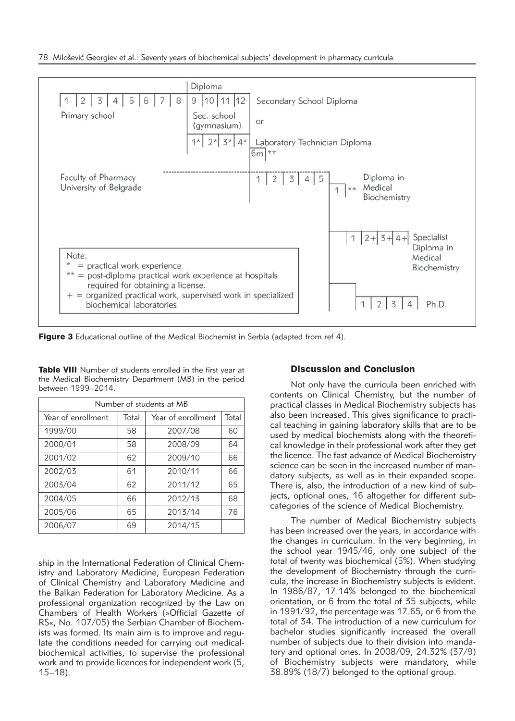

Figure 3 Educational outline of the Medical Biochemist in Serbia (adapted from ref 4).

Table VIII Number of students enrolled in the first year at the Medical Biochemistry Department (MB) in the period between 1999–2014.

| Number of students at MB |       |                    |       |  |  |  |  |
|--------------------------|-------|--------------------|-------|--|--|--|--|
| Year of enrollment       | Total | Year of enrollment | Total |  |  |  |  |
| 1999/00                  | 58    | 2007/08            | 60    |  |  |  |  |
| 2000/01                  | 58    | 2008/09            | 64    |  |  |  |  |
| 2001/02                  | 62    | 2009/10            | 66    |  |  |  |  |
| 2002/03                  | 61    | 2010/11            | 66    |  |  |  |  |
| 2003/04                  | 62    | 2011/12            | 65    |  |  |  |  |
| 2004/05                  | 66    | 2012/13            | 68    |  |  |  |  |
| 2005/06                  | 65    | 2013/14            | 76    |  |  |  |  |
| 2006/07                  | 69    | 2014/15            |       |  |  |  |  |

ship in the International Federation of Clinical Chemistry and Laboratory Medicine, European Federation of Clinical Chemistry and Laboratory Medicine and the Balkan Federation for Laboratory Medicine. As a professional organization recognized by the Law on Chambers of Health Workers (»Official Gazette of RS«, No. 107/05) the Serbian Chamber of Biochemists was formed. Its main aim is to improve and regulate the conditions needed for carrying out medicalbiochemical activities, to supervise the professional work and to provide licences for independent work (5, 15–18).

# Discussion and Conclusion

Not only have the curricula been enriched with contents on Clinical Chemistry, but the number of practical classes in Medical Biochemistry subjects has also been increased. This gives significance to practical teaching in gaining laboratory skills that are to be used by medical biochemists along with the theoretical knowledge in their professional work after they get the licence. The fast advance of Medical Biochemistry science can be seen in the increased number of mandatory subjects, as well as in their expanded scope. There is, also, the introduction of a new kind of subjects, optional ones, 16 altogether for different subcategories of the science of Medical Biochemistry.

The number of Medical Biochemistry subjects has been increased over the years, in accordance with the changes in curriculum. In the very beginning, in the school year 1945/46, only one subject of the total of twenty was biochemical (5%). When studying the development of Biochemistry through the curricula, the increase in Biochemistry subjects is evident. In 1986/87, 17.14% belonged to the biochemical orientation, or 6 from the total of 35 subjects, while in 1991/92, the percentage was 17.65, or 6 from the total of 34. The introduction of a new curriculum for bachelor studies significantly increased the overall num ber of subjects due to their division into mandatory and optional ones. In 2008/09, 24.32% (37/9) of Biochemistry subjects were mandatory, while 38.89% (18/7) belonged to the optional group.